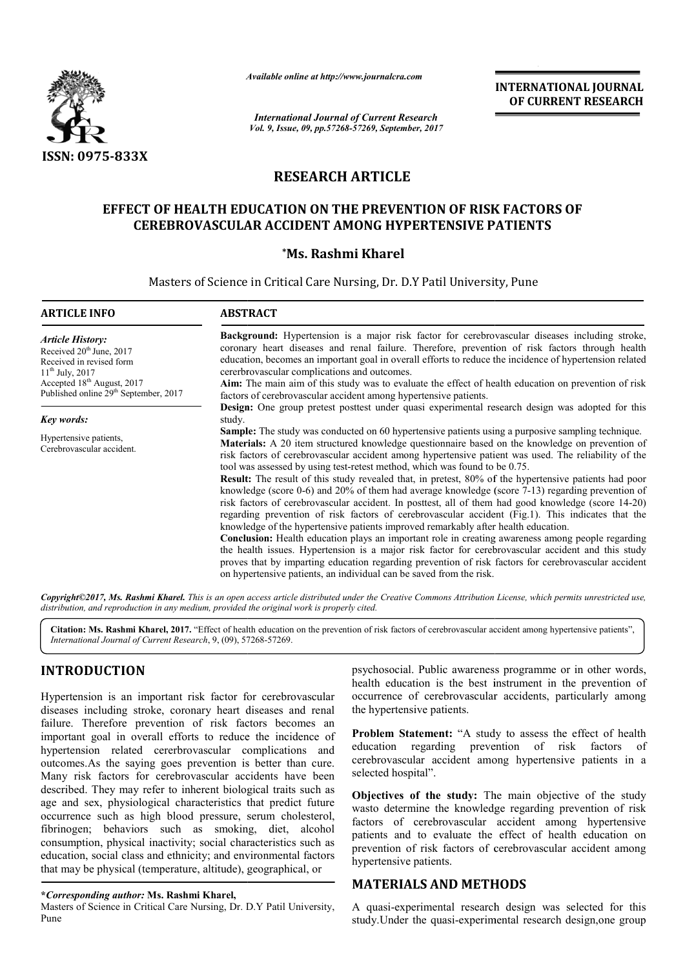

*Available online at http://www.journal http://www.journalcra.com*

# **RESEARCH ARTICLE**

## EFFECT OF HEALTH EDUCATION ON THE PREVENTION OF RISK FACTORS OF **CEREBROVASCULAR ACCIDENT AMONG HYPERTENSIVE PATIENTS**

## **\*Ms. Rashmi Kharel**

|                                                                                                                                                                                                                                                                                                                                                                                                                                                                                                                                                                                                              | лтините опине игнир.//www.journuicru.com                                                                                                                                                                                                                                                                                                                                                                                                                                                                                                                                                                                                                                                                                                                                                                                                                                                                                                                                                                                                                                                                                                                                                                                                                                                                   | <b>International Journal of Current Research</b>                         | <b>INTERNATIONAL JOURNAL</b><br>OF CURRENT RESEARCH                                                                                                                                                                                                                                                                                                                                                                                                                                          |
|--------------------------------------------------------------------------------------------------------------------------------------------------------------------------------------------------------------------------------------------------------------------------------------------------------------------------------------------------------------------------------------------------------------------------------------------------------------------------------------------------------------------------------------------------------------------------------------------------------------|------------------------------------------------------------------------------------------------------------------------------------------------------------------------------------------------------------------------------------------------------------------------------------------------------------------------------------------------------------------------------------------------------------------------------------------------------------------------------------------------------------------------------------------------------------------------------------------------------------------------------------------------------------------------------------------------------------------------------------------------------------------------------------------------------------------------------------------------------------------------------------------------------------------------------------------------------------------------------------------------------------------------------------------------------------------------------------------------------------------------------------------------------------------------------------------------------------------------------------------------------------------------------------------------------------|--------------------------------------------------------------------------|----------------------------------------------------------------------------------------------------------------------------------------------------------------------------------------------------------------------------------------------------------------------------------------------------------------------------------------------------------------------------------------------------------------------------------------------------------------------------------------------|
|                                                                                                                                                                                                                                                                                                                                                                                                                                                                                                                                                                                                              | Vol. 9, Issue, 09, pp.57268-57269, September, 2017                                                                                                                                                                                                                                                                                                                                                                                                                                                                                                                                                                                                                                                                                                                                                                                                                                                                                                                                                                                                                                                                                                                                                                                                                                                         |                                                                          |                                                                                                                                                                                                                                                                                                                                                                                                                                                                                              |
| ISSN: 0975-833X                                                                                                                                                                                                                                                                                                                                                                                                                                                                                                                                                                                              |                                                                                                                                                                                                                                                                                                                                                                                                                                                                                                                                                                                                                                                                                                                                                                                                                                                                                                                                                                                                                                                                                                                                                                                                                                                                                                            |                                                                          |                                                                                                                                                                                                                                                                                                                                                                                                                                                                                              |
|                                                                                                                                                                                                                                                                                                                                                                                                                                                                                                                                                                                                              | <b>RESEARCH ARTICLE</b>                                                                                                                                                                                                                                                                                                                                                                                                                                                                                                                                                                                                                                                                                                                                                                                                                                                                                                                                                                                                                                                                                                                                                                                                                                                                                    |                                                                          |                                                                                                                                                                                                                                                                                                                                                                                                                                                                                              |
|                                                                                                                                                                                                                                                                                                                                                                                                                                                                                                                                                                                                              | EFFECT OF HEALTH EDUCATION ON THE PREVENTION OF RISK FACTORS OF<br><b>CEREBROVASCULAR ACCIDENT AMONG HYPERTENSIVE PATIENTS</b>                                                                                                                                                                                                                                                                                                                                                                                                                                                                                                                                                                                                                                                                                                                                                                                                                                                                                                                                                                                                                                                                                                                                                                             |                                                                          |                                                                                                                                                                                                                                                                                                                                                                                                                                                                                              |
|                                                                                                                                                                                                                                                                                                                                                                                                                                                                                                                                                                                                              |                                                                                                                                                                                                                                                                                                                                                                                                                                                                                                                                                                                                                                                                                                                                                                                                                                                                                                                                                                                                                                                                                                                                                                                                                                                                                                            | *Ms. Rashmi Kharel                                                       |                                                                                                                                                                                                                                                                                                                                                                                                                                                                                              |
|                                                                                                                                                                                                                                                                                                                                                                                                                                                                                                                                                                                                              | Masters of Science in Critical Care Nursing, Dr. D.Y Patil University, Pune                                                                                                                                                                                                                                                                                                                                                                                                                                                                                                                                                                                                                                                                                                                                                                                                                                                                                                                                                                                                                                                                                                                                                                                                                                |                                                                          |                                                                                                                                                                                                                                                                                                                                                                                                                                                                                              |
| <b>ARTICLE INFO</b>                                                                                                                                                                                                                                                                                                                                                                                                                                                                                                                                                                                          | <b>ABSTRACT</b>                                                                                                                                                                                                                                                                                                                                                                                                                                                                                                                                                                                                                                                                                                                                                                                                                                                                                                                                                                                                                                                                                                                                                                                                                                                                                            |                                                                          |                                                                                                                                                                                                                                                                                                                                                                                                                                                                                              |
| <b>Article History:</b><br>Received 20 <sup>th</sup> June, 2017<br>Received in revised form<br>$11^{th}$ July, 2017<br>Accepted 18th August, 2017<br>Published online 29 <sup>th</sup> September, 2017                                                                                                                                                                                                                                                                                                                                                                                                       | Background: Hypertension is a major risk factor for cerebrovascular diseases including stroke,<br>coronary heart diseases and renal failure. Therefore, prevention of risk factors through health<br>education, becomes an important goal in overall efforts to reduce the incidence of hypertension related<br>cererbrovascular complications and outcomes.<br>Aim: The main aim of this study was to evaluate the effect of health education on prevention of risk<br>factors of cerebrovascular accident among hypertensive patients.<br>Design: One group pretest posttest under quasi experimental research design was adopted for this                                                                                                                                                                                                                                                                                                                                                                                                                                                                                                                                                                                                                                                               |                                                                          |                                                                                                                                                                                                                                                                                                                                                                                                                                                                                              |
| Key words:                                                                                                                                                                                                                                                                                                                                                                                                                                                                                                                                                                                                   | study.                                                                                                                                                                                                                                                                                                                                                                                                                                                                                                                                                                                                                                                                                                                                                                                                                                                                                                                                                                                                                                                                                                                                                                                                                                                                                                     |                                                                          |                                                                                                                                                                                                                                                                                                                                                                                                                                                                                              |
| Hypertensive patients,<br>Cerebrovascular accident.                                                                                                                                                                                                                                                                                                                                                                                                                                                                                                                                                          | Sample: The study was conducted on 60 hypertensive patients using a purposive sampling technique.<br>Materials: A 20 item structured knowledge questionnaire based on the knowledge on prevention of<br>risk factors of cerebrovascular accident among hypertensive patient was used. The reliability of the<br>tool was assessed by using test-retest method, which was found to be 0.75.<br>Result: The result of this study revealed that, in pretest, 80% of the hypertensive patients had poor<br>knowledge (score 0-6) and 20% of them had average knowledge (score 7-13) regarding prevention of<br>risk factors of cerebrovascular accident. In posttest, all of them had good knowledge (score 14-20)<br>regarding prevention of risk factors of cerebrovascular accident (Fig.1). This indicates that the<br>knowledge of the hypertensive patients improved remarkably after health education.<br><b>Conclusion:</b> Health education plays an important role in creating awareness among people regarding<br>the health issues. Hypertension is a major risk factor for cerebrovascular accident and this study<br>proves that by imparting education regarding prevention of risk factors for cerebrovascular accident<br>on hypertensive patients, an individual can be saved from the risk. |                                                                          |                                                                                                                                                                                                                                                                                                                                                                                                                                                                                              |
|                                                                                                                                                                                                                                                                                                                                                                                                                                                                                                                                                                                                              | distribution, and reproduction in any medium, provided the original work is properly cited.                                                                                                                                                                                                                                                                                                                                                                                                                                                                                                                                                                                                                                                                                                                                                                                                                                                                                                                                                                                                                                                                                                                                                                                                                |                                                                          | <b>Copyright©2017, Ms. Rashmi Kharel.</b> This is an open access article distributed under the Creative Commons Attribution License, which permits unrestricted use,                                                                                                                                                                                                                                                                                                                         |
| International Journal of Current Research, 9, (09), 57268-57269.                                                                                                                                                                                                                                                                                                                                                                                                                                                                                                                                             |                                                                                                                                                                                                                                                                                                                                                                                                                                                                                                                                                                                                                                                                                                                                                                                                                                                                                                                                                                                                                                                                                                                                                                                                                                                                                                            |                                                                          | Citation: Ms. Rashmi Kharel, 2017. "Effect of health education on the prevention of risk factors of cerebrovascular accident among hypertensive patients",                                                                                                                                                                                                                                                                                                                                   |
| <b>INTRODUCTION</b><br>Hypertension is an important risk factor for cerebrovascular<br>diseases including stroke, coronary heart diseases and renal<br>failure. Therefore prevention of risk factors becomes an<br>important goal in overall efforts to reduce the incidence of<br>hypertension related cererbrovascular complications and<br>outcomes. As the saying goes prevention is better than cure.<br>Many risk factors for cerebrovascular accidents have been<br>described. They may refer to inherent biological traits such as<br>age and sex, physiological characteristics that predict future |                                                                                                                                                                                                                                                                                                                                                                                                                                                                                                                                                                                                                                                                                                                                                                                                                                                                                                                                                                                                                                                                                                                                                                                                                                                                                                            | the hypertensive patients.<br>education regarding<br>selected hospital". | psychosocial. Public awareness programme or in other words,<br>health education is the best instrument in the prevention of<br>occurrence of cerebrovascular accidents, particularly among<br><b>Problem Statement:</b> "A study to assess the effect of health<br>prevention of risk factors<br>- of<br>cerebrovascular accident among hypertensive patients in a<br>Objectives of the study: The main objective of the study<br>wasto determine the knowledge regarding prevention of risk |
| occurrence such as high blood pressure, serum cholesterol,<br>fibrinogen; behaviors such as smoking, diet, alcohol<br>consumption, physical inactivity; social characteristics such as<br>education, social class and ethnicity; and environmental factors<br>that may be physical (temperature, altitude), geographical, or                                                                                                                                                                                                                                                                                 |                                                                                                                                                                                                                                                                                                                                                                                                                                                                                                                                                                                                                                                                                                                                                                                                                                                                                                                                                                                                                                                                                                                                                                                                                                                                                                            | hypertensive patients.                                                   | factors of cerebrovascular accident among hypertensive<br>patients and to evaluate the effect of health education on<br>prevention of risk factors of cerebrovascular accident among                                                                                                                                                                                                                                                                                                         |
| *Corresponding author: Ms. Rashmi Kharel,<br>Masters of Science in Critical Care Nursing, Dr. D.Y Patil University,                                                                                                                                                                                                                                                                                                                                                                                                                                                                                          |                                                                                                                                                                                                                                                                                                                                                                                                                                                                                                                                                                                                                                                                                                                                                                                                                                                                                                                                                                                                                                                                                                                                                                                                                                                                                                            | <b>MATERIALS AND METHODS</b>                                             | A quasi-experimental research design was selected for this                                                                                                                                                                                                                                                                                                                                                                                                                                   |
| Pune                                                                                                                                                                                                                                                                                                                                                                                                                                                                                                                                                                                                         |                                                                                                                                                                                                                                                                                                                                                                                                                                                                                                                                                                                                                                                                                                                                                                                                                                                                                                                                                                                                                                                                                                                                                                                                                                                                                                            |                                                                          | study. Under the quasi-experimental research design, one group                                                                                                                                                                                                                                                                                                                                                                                                                               |

## **INTRODUCTION**

#### **\****Corresponding author:* **Ms. Rashmi Kharel,**

## **MATERIALS AND METHODS METHODS**